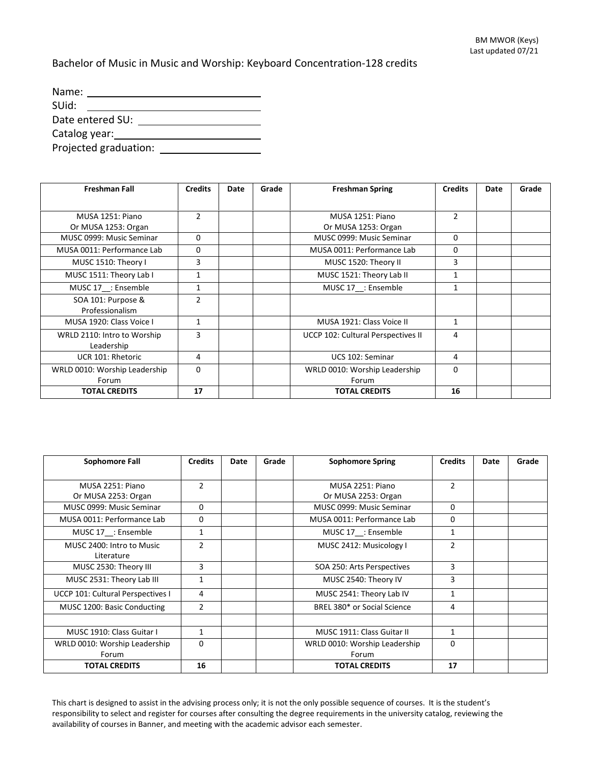## Bachelor of Music in Music and Worship: Keyboard Concentration-128 credits

| Name:                 |  |
|-----------------------|--|
| SUid:                 |  |
| Date entered SU:      |  |
| Catalog year:         |  |
| Projected graduation: |  |

| <b>Freshman Fall</b>          | <b>Credits</b> | Date | Grade | <b>Freshman Spring</b>             | <b>Credits</b> | Date | Grade |
|-------------------------------|----------------|------|-------|------------------------------------|----------------|------|-------|
|                               |                |      |       |                                    |                |      |       |
| MUSA 1251: Piano              | $\mathfrak{p}$ |      |       | MUSA 1251: Piano                   | 2              |      |       |
| Or MUSA 1253: Organ           |                |      |       | Or MUSA 1253: Organ                |                |      |       |
| MUSC 0999: Music Seminar      | 0              |      |       | MUSC 0999: Music Seminar           | $\Omega$       |      |       |
| MUSA 0011: Performance Lab    | 0              |      |       | MUSA 0011: Performance Lab         | $\Omega$       |      |       |
| MUSC 1510: Theory I           | 3              |      |       | MUSC 1520: Theory II               | 3              |      |       |
| MUSC 1511: Theory Lab I       | 1              |      |       | MUSC 1521: Theory Lab II           | $\mathbf{1}$   |      |       |
| MUSC 17_: Ensemble            | $\mathbf{1}$   |      |       | MUSC 17 : Ensemble                 | $\mathbf{1}$   |      |       |
| SOA 101: Purpose &            | $\overline{2}$ |      |       |                                    |                |      |       |
| Professionalism               |                |      |       |                                    |                |      |       |
| MUSA 1920: Class Voice I      | 1              |      |       | MUSA 1921: Class Voice II          | 1              |      |       |
| WRLD 2110: Intro to Worship   | 3              |      |       | UCCP 102: Cultural Perspectives II | 4              |      |       |
| Leadership                    |                |      |       |                                    |                |      |       |
| UCR 101: Rhetoric             | 4              |      |       | UCS 102: Seminar                   | 4              |      |       |
| WRLD 0010: Worship Leadership | 0              |      |       | WRLD 0010: Worship Leadership      | $\Omega$       |      |       |
| Forum                         |                |      |       | Forum                              |                |      |       |
| <b>TOTAL CREDITS</b>          | 17             |      |       | <b>TOTAL CREDITS</b>               | 16             |      |       |

| Sophomore Fall                    | <b>Credits</b> | Date | Grade | <b>Sophomore Spring</b>       | <b>Credits</b> | Date | Grade |
|-----------------------------------|----------------|------|-------|-------------------------------|----------------|------|-------|
|                                   |                |      |       |                               |                |      |       |
| MUSA 2251: Piano                  | $\overline{2}$ |      |       | MUSA 2251: Piano              | $\mathcal{P}$  |      |       |
| Or MUSA 2253: Organ               |                |      |       | Or MUSA 2253: Organ           |                |      |       |
| MUSC 0999: Music Seminar          | $\Omega$       |      |       | MUSC 0999: Music Seminar      | $\Omega$       |      |       |
| MUSA 0011: Performance Lab        | $\Omega$       |      |       | MUSA 0011: Performance Lab    | $\Omega$       |      |       |
| MUSC 17 : Ensemble                | 1              |      |       | MUSC 17 : Ensemble            | 1              |      |       |
| MUSC 2400: Intro to Music         | $\overline{2}$ |      |       | MUSC 2412: Musicology I       | $\overline{2}$ |      |       |
| Literature                        |                |      |       |                               |                |      |       |
| MUSC 2530: Theory III             | 3              |      |       | SOA 250: Arts Perspectives    | 3              |      |       |
| MUSC 2531: Theory Lab III         | 1              |      |       | MUSC 2540: Theory IV          | 3              |      |       |
| UCCP 101: Cultural Perspectives I | 4              |      |       | MUSC 2541: Theory Lab IV      | 1              |      |       |
| MUSC 1200: Basic Conducting       | $\overline{2}$ |      |       | BREL 380* or Social Science   | 4              |      |       |
|                                   |                |      |       |                               |                |      |       |
| MUSC 1910: Class Guitar I         | 1              |      |       | MUSC 1911: Class Guitar II    | 1              |      |       |
| WRLD 0010: Worship Leadership     | $\Omega$       |      |       | WRLD 0010: Worship Leadership | $\Omega$       |      |       |
| Forum                             |                |      |       | Forum                         |                |      |       |
| <b>TOTAL CREDITS</b>              | 16             |      |       | <b>TOTAL CREDITS</b>          | 17             |      |       |

This chart is designed to assist in the advising process only; it is not the only possible sequence of courses. It is the student's responsibility to select and register for courses after consulting the degree requirements in the university catalog, reviewing the availability of courses in Banner, and meeting with the academic advisor each semester.